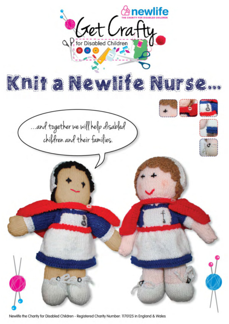

Newlife the Charity for Disabled Children - Registered Charity Number: 1170125 in England & Wales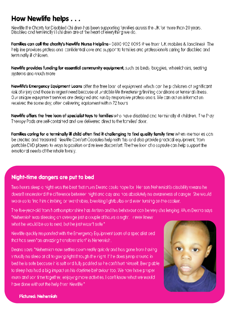# How Newlife helps . . .

Newlite the Chanty for Discibled Children has been supporting families across the UK for more than 20 years. Dischled and terminally if this dren are of the heart of everything we do.

Families can call the charity's Newlife Nurse Helpline - 0800 902 0095 if ree from UK mobiles & landlinesi. The help ine provides professional confidential care and support to families and professionals caring for discbled and terminally ill children.

Newlife provides funding for essential community equipment, such as beds, buggies, wheelchairs, seating systems and much more.

Newlife's Emergency Equipment Loans ofter the tree loan of equipment which can be pichiloren of significant. risk of injury and those in urgent need because of unstable life threatening/limiting conditions or terminal i lness, Our unique equipment services are designed and run by responsive professionals. We can act on information received the some day, often delivering equipment within 72 hours.

Newlife offers the free loan of specialist toys to families who have disabled and terminally ill children. The Play-Theropy Pods are self-contained and are delivered direct to the formlies' door.

Families coring for a terminally ill child often find it challenging to find quality family time when memories conbe created and treasured. Newlife Comfort Capsules help with this and also provide practical equipment, from portable DVD players to ways to position and relieve discomfort. The tree loan of a capsule can help support the emotional needs of the whole fornily.

## Night-time dangers are put to bed

Two hours sleep a hight was the best that mum Deand could hope for. Her son Nehemiah's disability means hedoesn't understand the difference between hight and day and has absolutely no awareness of danger. She would, wake up to find him climbing on wardrobes, breaking lightbulbs and even turning on the cooker.

The five-vech-old from Northamptonshire has Autism and his behaviour can be very challenging. Mum Deana says "Nehemiah was sleeping on overage just a couple of hours a night, in ever knew. what he would be up to next, but he just wasn't safe \*

Newlife guickly responded with the Emergency Equipment Loan of a specialist bed. that has seen "on amazing transformation" in Nenemiah.

Deang says: "Nehemian now settles cown really quickly and has gone from having. Ivinually no sleep at all to going right through the night. If he does jump ground in bed he is sate because it is soft and fully padded so he con't hurt nimself. Being ableto sleep has had a big impact on his doytime behaviour too. We now have proper mum and son time together, enjoying more activities. I confiknow what we would have done without the help from Newlite.\*



Pictured: Nahamidh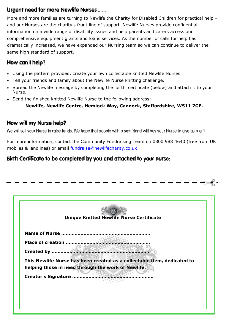## Urgent need for more Newlife Nurses . . .

More and more families are turning to Newlife the Charity for Disabled Children for practical help and our Nurses are the charity's front line of support. Newlife Nurses provide confidential information on a wide range of disability issues and help parents and carers access our comprehensive equipment grants and loans services. As the number of calls for help has dramatically increased, we have expanded our Nursing team so we can continue to deliver the same high standard of support.

## How can I help?

- Using the pattern provided, create your own collectable knitted Newlife Nurses.
- Tell your friends and family about the Newlife Nurse knitting challenge.
- Spread the Newlife message by completing the 'birth' certificate (below) and attach it to your Nurse.
- Send the finished knitted Newlife Nurse to the following address:

**Newlife, Newlife Centre, Hemlock Way, Cannock, Staffordshire, WS11 7GF.**

## How will my Nurse help?

We will sell your Nurse to ralse funds. We hope that people with a sick friend will buy your Nurse to give as a gift

For more information, contact the Community Fundraising Team on 0800 988 4640 (free from UK mobiles & landlines) or email fundraise[@newlifecharity.co.uk](mailto:getcrafty@newlifecharity.co.uk)

## Birth Certificate to be completed by you and attached to your nurse:

|                    | <b>Unique Knitted Newlife Nurse Certificate</b>                         |
|--------------------|-------------------------------------------------------------------------|
|                    | Name of Nurse                                                           |
| Place of creation. |                                                                         |
| Created by         |                                                                         |
|                    | This Newlife Nurse has been created as a collectable item, dedicated to |
|                    | helping those in need through the work of Newlife.                      |
|                    | Creator's Signature                                                     |
|                    |                                                                         |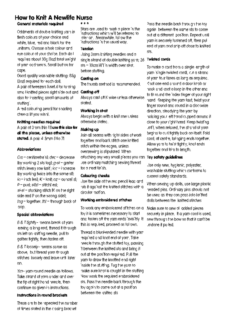# **How to Knit A Newlife Nurse**

#### General materials required

Oddments of double knifting vain in flesh colours of your choice and while, blue, red and black for the uniform. Choose a hair colour and eve colour of your choice. Each do I requires about 30g flozi total weight of your occiments. Small but on for cape.

Good quality washable stuffing: 85g 13oz) required for each doll. A pair of tweezers fuseful for turning. smoll kniffed pieces right side out and also for inserting small amounts of stutting.

A red colouring pencil for shading cheeks lifyou wish!.

#### Knittling needles required A pair of 3mm (No 1)) use this size for all the pleces, unless otherwise stated. A pair 4 5mm (No 7)

#### **Abbreviations**

On = centimetre st. dec = decrease Iby working 2 sts tog);  $g$ -st = garter stilich levery row knift; incl-increase lby working twice into the same stl: in trinch lest:  $K$  t knit: ez t ouncel st:  $P = \text{mult}[\mathit{sits}] = \text{stitch}[\mathit{es}]$ : si-si - stocking stitch IK on the right side and P on the wrong sidel; tog - together, thi - through book of oop.

#### Special abbreviations

6 & Tilightly- means break of yam. eaving a long end, thread it through sts left on kniffing needle, pull to gather fightly, then tasten off.

6 & T (ossely-imeans some as above, but thread your through stildnes, loosely and leave unfil later on.

Ym- yam round needle as follows. Take strand of yarn under and over the tip of right hond needle, then continue as given in instructions.

#### Instructions in round brackets

These are to be repeated the number of times stated in the closing bracket.

#### an an A

Stars are used to mark a place in the instructions which will be referred to later on. Meanwhile, follow the instructions in the usual way.

#### Tension

Using 3mm knitting needles and a single strand of double knifting yorn; 26. sts = 10cm 14°I in width over st-st. before stuffing.

#### Costing on

The thumb method is recommended.

#### Costino off

Always cast off K wise unless otherwise stated.

#### Worlding in start

Always begin with a knit row unless otherwise stated.

#### Makina up

Join all seams with right sides of work together and back stitch one knitted stilch within the edges, unless oversewing is stipulated. When attoching any very small pieces you can. Toy safety guidelines use ordinary matching sewing thread. tor a neat tin sh.

#### **Colouring cheeks**

Use the side of the recipencil lead and rub if agoinst the knitted stifches with a circular motion.

#### Worlding embroidered stitches

To work any embroidered stitches on a toy it is sometimes necessary to start and tasten off the vamiends invisibly. It this is required, proceed as follows.

Thread a blunkended needle with your required and knot end of your, Take heedle fhrough the stuffed foy, passing It between the knitted sts and bring it out at the position required. Pull the yam to draw the knotted end right inside the stuffing. Tug the yorn to make sure knot is cought in the stuffing Now work the required embroidered sts. Pass the needle back through the toy again to come out at a position. between the knifted sts.

Pass the needle back through the toy. again, between the same sts to come. out at a different position. Repeat until vam is securely fostened off, then pulend of yom and snip off dose to knifted 515.

#### **Twisted cords**

To make a cord from a single, ength of yam is ngle twisted cordl, cut a strand of your four times as long as required. Khot one end around a door knob on hook and knot a loop in the ather end. to fit round the index tinger of your right hand. Keeping the yam faut, twist your tinger round and round in a clockwise. direction, steadying the your by holding your left hand cursed around it close to your right hand. Keep twisting. unfil, when reloxed, the strond of your begins to curl fightly bock on itself. Fold cord, at centre, bringing ends together. Allow yorn to twist fightly, knot ends. together and trim to length.

Use only new, hygienic, polyester, washable stuffing which conforms to current safety standards.

When sewing up dolls, use large plastic headed pins. Ordinary pins should not be used as they can pass into knifted. dolls between the knitted stitches.

Miake sure to sew all added pieces securely in place. It a yam cord is used, sew through the bow so that it can't be undone if pulled.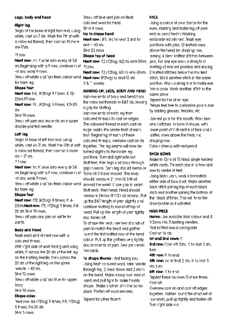#### Legs, body and head

#### Right leg

Begin at the base of right foot and, using while, cast on 7 sts. Mark the 7th st with a coloured thread, then cast on 10 more. sts-17sts

#### PI row

Next row: no K wise into every st-34 sts Beginning with a P row, continue in st ip row, -stiand work 9 rows.

Break off while and foiri flesh colour wool tor bare ea.

#### **Shape foot**

Next row K4, IK2fogl 9 limes, K 12-25sts P1 row

Next row: <4, (K2tog) 5 times, K11-20. sts.

SEst 19 rows.

Break off yam and leave sts on a spare double-pointed needle.

#### Laft leg

Begin of base of left foot and, using white, cast on 11 sts. Mark the 11th st with a coloured thread, then cast on 5 more  $sts = 17$  sts.

#### $21$  town

Next row: no K wise into every st-34 sts Beginning with a P row, continue in still rights (4 1/4 institutional The body -stigne work 9 rows.

Break off while and foiri flesh colour wool tor bare eg.

#### Shape foot

Next row: KI2 (K2fog) 9 times, K-4-25sts Next row: KII, (K2tog) 5 times, K4-20 sts 5t-st 19 rows. Break off yam and join on white for pants.

#### Body and Head

Migrit each end of next row with a coloured thread.

With right side of work facing and using while, K across the 20 sts of the lettleg. on the knitting needle, then ocross the 20 sts of the right leg on the spare. heedle - 40 sts.

SFst 13 rows.

Break off while and foin blue for upper bocy

## St-st 10 rows.

Shape sides

Next row: K6 (K2tog) 5 times, K8, (K2tog) 5 times, KG-30 sts SEst 3 rows.

Break off blue and join on flesh coloured wool for head. Stest 4 rows.

### ing to shape head.

Next row : KI, inclininest 2 stal to end  $=$  50 sts. SEst 23 rows

Shape top of head

Next row: < 2.1<2tog, K2) to end-38sts

Next row: <2.i<2fog, KII to enc-26sts. Next row: IP21og11clend-13 sts  $3.8<sup>-1</sup>$  obselv.

#### MAKING UP. LEGS, BODY AND HEAD

Join row ends of boay and head from the coloured threads to B&T sts, leaving a cap for stuffing.

Join row ends of each leg from coloured threads to cast on edges. The coloured thread at each cast on eege marks the centre front of each toot. Beginning at each of these coloured threads, oversew cast on sts. together. The legiseams will now be furned slightly to the inside leg. positions. Turn doll right side out Stuff feet, then legs and booy through gaplin seam. Each lea should measure should measure 21 cms (8 1/4ins) laround the waist. Close gap in seam. Stuff neck, then head. Head should measure 24cms I9 1/2 institutional Pull up the B&T length of your slightly and continue stuffing to round off fop of head. Pull up the length of your tightly. and tasten off.

To shape the neck, use two stronds of yam to match the head and gather round the first kniffed row of the head. colour. Pull up the gathers very fightly. and knotlends of yam. Sew yam ends into neck.

To shape thumb doll facing you. Using flesh coloured wool, take heedle. through foy, 2 rows down and 2 sts in on the hand, Make a loop over end of hand and pull tight to make thumb. shope. Make another st in the same place. Fasten off wool securely.

Repeat for other thumb

#### FACE

Using a colour of your choice for the eyes, starting and tastening off your end as described in Working. embroidered stitches', Miark eye positions with pins, 12 knitted rows. above the head inclshoping row. eoving 4 clear kniffed stifches between. pins. For one eye work a straight st starting of marked position and ending 2 knitted stitches below the morked stildh. Work another stilch in the some position. Work a straight st to make eveinto a cross. Work another stitch in the same place

Repeat for the other eye.

Please feel free to customise your nurse. by adding glasses, treckles, etc.

Use red yorn for the mouth. Work two smo I stitches, to form V-shope, with ower point of V at centre of face and 4 kniffed rows above the head incl shoping row.

Colour cheeks with red pencil

#### SHOE BOWS

Make to 12cm I4 13/4inst single twisted while cords. Teleadh one in a bow and sew to centre of teet.

Using block varn, work a backstitch either side of bow knot. Make another back stitch joining top of each black stich and another joining the bottom of the Iblack stifches. This will form the shoe budde as illustrated.

#### **HAIR PIECE**

Notes: Use suitable hair colour and 4 1/2mm (No 7) knifting needles. First kn fled row is wrong side Cast on 16 sts.

#### Ist and 2nd rows:

Sind nows Cast off 2sts, Kito last 3 sts, tum

4th row K to end

5th rows no in first 2 sts. Kito last 5 sts. fum.

6th row: Kitolend

Repeat these six rows 11 more times. Cast off

Oversew cost on and cost off edges together. Gather round the short set of row ends, pull up fightly and tasten off Turn right side out.